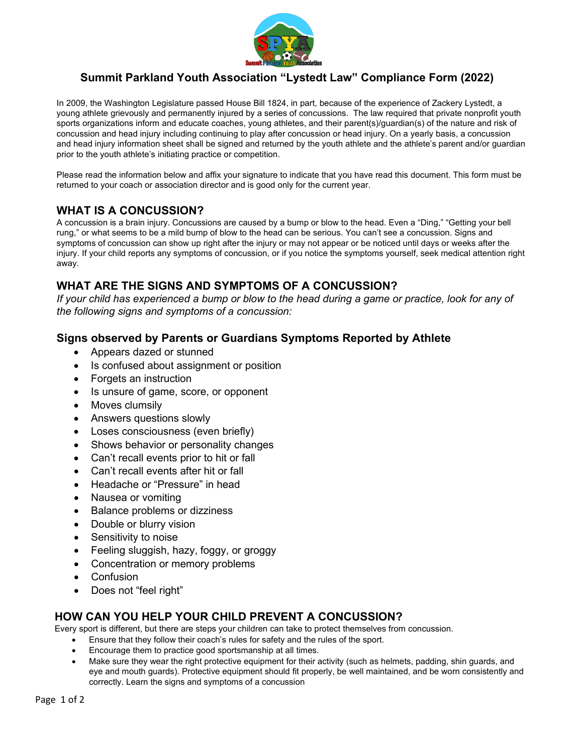

# **Summit Parkland Youth Association "Lystedt Law" Compliance Form (2022)**

In 2009, the Washington Legislature passed House Bill 1824, in part, because of the experience of Zackery Lystedt, a young athlete grievously and permanently injured by a series of concussions. The law required that private nonprofit youth sports organizations inform and educate coaches, young athletes, and their parent(s)/guardian(s) of the nature and risk of concussion and head injury including continuing to play after concussion or head injury. On a yearly basis, a concussion and head injury information sheet shall be signed and returned by the youth athlete and the athlete's parent and/or guardian prior to the youth athlete's initiating practice or competition.

Please read the information below and affix your signature to indicate that you have read this document. This form must be returned to your coach or association director and is good only for the current year.

## **WHAT IS A CONCUSSION?**

A concussion is a brain injury. Concussions are caused by a bump or blow to the head. Even a "Ding," "Getting your bell rung," or what seems to be a mild bump of blow to the head can be serious. You can't see a concussion. Signs and symptoms of concussion can show up right after the injury or may not appear or be noticed until days or weeks after the injury. If your child reports any symptoms of concussion, or if you notice the symptoms yourself, seek medical attention right away.

# **WHAT ARE THE SIGNS AND SYMPTOMS OF A CONCUSSION?**

*If your child has experienced a bump or blow to the head during a game or practice, look for any of the following signs and symptoms of a concussion:*

### **Signs observed by Parents or Guardians Symptoms Reported by Athlete**

- Appears dazed or stunned
- Is confused about assignment or position
- Forgets an instruction
- Is unsure of game, score, or opponent
- Moves clumsily
- Answers questions slowly
- Loses consciousness (even briefly)
- Shows behavior or personality changes
- Can't recall events prior to hit or fall
- Can't recall events after hit or fall
- Headache or "Pressure" in head
- Nausea or vomiting
- Balance problems or dizziness
- Double or blurry vision
- Sensitivity to noise
- Feeling sluggish, hazy, foggy, or groggy
- Concentration or memory problems
- **Confusion**
- Does not "feel right"

#### **HOW CAN YOU HELP YOUR CHILD PREVENT A CONCUSSION?**

Every sport is different, but there are steps your children can take to protect themselves from concussion.

- Ensure that they follow their coach's rules for safety and the rules of the sport.
- Encourage them to practice good sportsmanship at all times.
- Make sure they wear the right protective equipment for their activity (such as helmets, padding, shin guards, and eye and mouth guards). Protective equipment should fit properly, be well maintained, and be worn consistently and correctly. Learn the signs and symptoms of a concussion